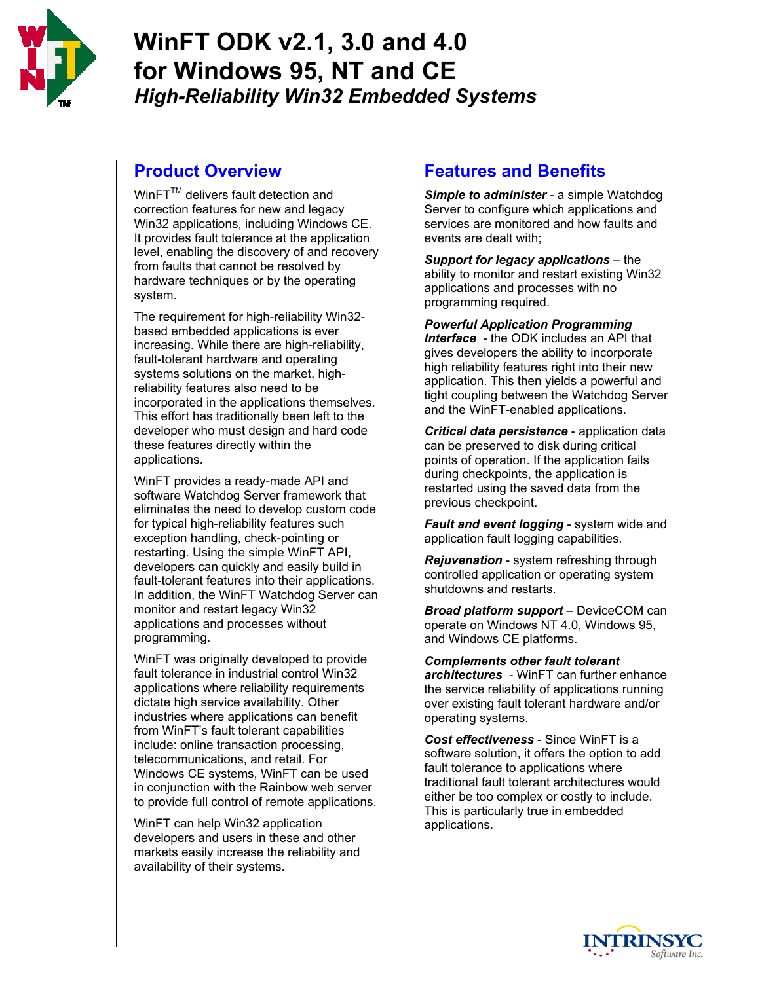

# **WinFT ODK v2.1, 3.0 and 4.0 for Windows 95, NT and CE**  *High-Reliability Win32 Embedded Systems*

### **Product Overview**

WinFT™ delivers fault detection and correction features for new and legacy Win32 applications, including Windows CE. It provides fault tolerance at the application level, enabling the discovery of and recovery from faults that cannot be resolved by hardware techniques or by the operating system.

The requirement for high-reliability Win32 based embedded applications is ever increasing. While there are high-reliability, fault-tolerant hardware and operating systems solutions on the market, highreliability features also need to be incorporated in the applications themselves. This effort has traditionally been left to the developer who must design and hard code these features directly within the applications.

WinFT provides a ready-made API and software Watchdog Server framework that eliminates the need to develop custom code for typical high-reliability features such exception handling, check-pointing or restarting. Using the simple WinFT API, developers can quickly and easily build in fault-tolerant features into their applications. In addition, the WinFT Watchdog Server can monitor and restart legacy Win32 applications and processes without programming.

WinFT was originally developed to provide fault tolerance in industrial control Win32 applications where reliability requirements dictate high service availability. Other industries where applications can benefit from WinFT's fault tolerant capabilities include: online transaction processing, telecommunications, and retail. For Windows CE systems, WinFT can be used in conjunction with the Rainbow web server to provide full control of remote applications.

WinFT can help Win32 application developers and users in these and other markets easily increase the reliability and availability of their systems.

# **Features and Benefits**

*Simple to administer* - a simple Watchdog Server to configure which applications and services are monitored and how faults and events are dealt with;

*Support for legacy applications* – the ability to monitor and restart existing Win32 applications and processes with no programming required.

*Powerful Application Programming Interface* - the ODK includes an API that gives developers the ability to incorporate high reliability features right into their new application. This then yields a powerful and tight coupling between the Watchdog Server and the WinFT-enabled applications.

*Critical data persistence* - application data can be preserved to disk during critical points of operation. If the application fails during checkpoints, the application is restarted using the saved data from the previous checkpoint.

*Fault and event logging* - system wide and application fault logging capabilities.

*Rejuvenation* - system refreshing through controlled application or operating system shutdowns and restarts.

*Broad platform support* – DeviceCOM can operate on Windows NT 4.0, Windows 95, and Windows CE platforms.

#### *Complements other fault tolerant*

*architectures* - WinFT can further enhance the service reliability of applications running over existing fault tolerant hardware and/or operating systems.

*Cost effectiveness* - Since WinFT is a software solution, it offers the option to add fault tolerance to applications where traditional fault tolerant architectures would either be too complex or costly to include. This is particularly true in embedded applications.